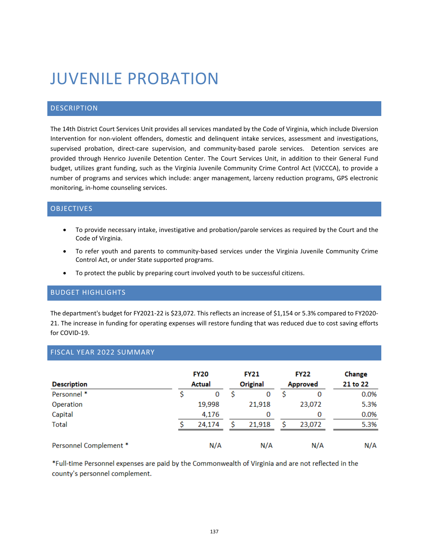# JUVENILE PROBATION

## DESCRIPTION

The 14th District Court Services Unit provides all services mandated by the Code of Virginia, which include Diversion Intervention for non-violent offenders, domestic and delinquent intake services, assessment and investigations, supervised probation, direct-care supervision, and community-based parole services. Detention services are provided through Henrico Juvenile Detention Center. The Court Services Unit, in addition to their General Fund budget, utilizes grant funding, such as the Virginia Juvenile Community Crime Control Act (VJCCCA), to provide a number of programs and services which include: anger management, larceny reduction programs, GPS electronic monitoring, in-home counseling services.

### OBJECTIVES

- To provide necessary intake, investigative and probation/parole services as required by the Court and the Code of Virginia.
- To refer youth and parents to community-based services under the Virginia Juvenile Community Crime Control Act, or under State supported programs.
- To protect the public by preparing court involved youth to be successful citizens.

#### BUDGET HIGHLIGHTS

The department's budget for FY2021-22 is \$23,072. This reflects an increase of \$1,154 or 5.3% compared to FY2020- 21. The increase in funding for operating expenses will restore funding that was reduced due to cost saving efforts for COVID-19.

### FISCAL YEAR 2022 SUMMARY

| <b>Description</b>     | <b>FY20</b><br>Actual | <b>FY21</b><br>Original | <b>FY22</b><br>Approved |        | Change<br>21 to 22 |
|------------------------|-----------------------|-------------------------|-------------------------|--------|--------------------|
| Personnel *            | 0                     | 0                       |                         | 0      | 0.0%               |
| Operation              | 19,998                | 21,918                  |                         | 23,072 | 5.3%               |
| Capital                | 4,176                 | 0                       |                         | 0      | 0.0%               |
| <b>Total</b>           | 24,174                | 21,918                  |                         | 23,072 | 5.3%               |
| Personnel Complement * | N/A                   | N/A                     |                         | N/A    | N/A                |

Full-time Personnel expenses are paid by the Commonwealth of Virginia and are not reflected in the county's personnel complement.